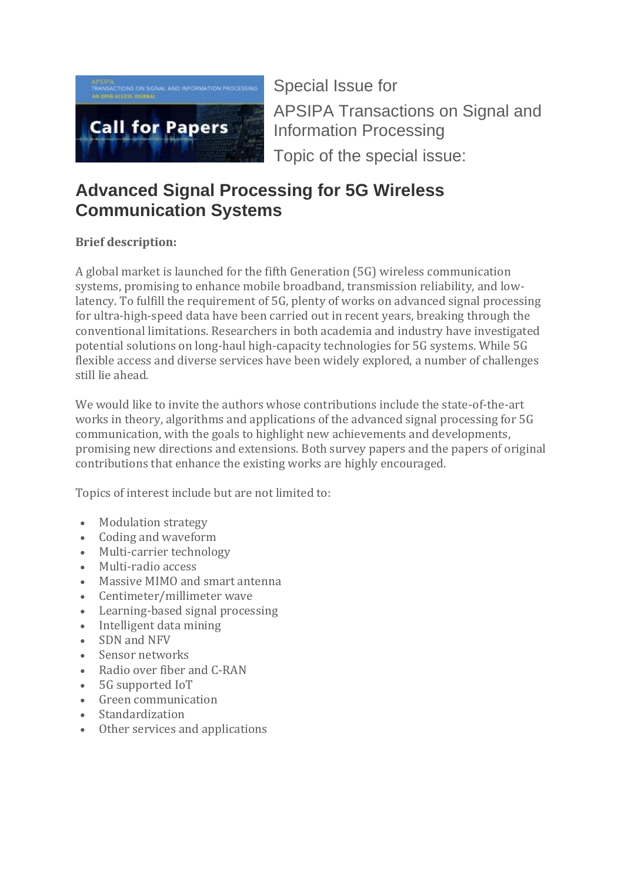

Special Issue for APSIPA Transactions on Signal and Information Processing Topic of the special issue:

## **Advanced Signal Processing for 5G Wireless Communication Systems**

## **Brief description:**

A global market is launched for the fifth Generation (5G) wireless communication systems, promising to enhance mobile broadband, transmission reliability, and lowlatency. To fulfill the requirement of 5G, plenty of works on advanced signal processing for ultra-high-speed data have been carried out in recent years, breaking through the conventional limitations. Researchers in both academia and industry have investigated potential solutions on long-haul high-capacity technologies for 5G systems. While 5G flexible access and diverse services have been widely explored, a number of challenges still lie ahead.

We would like to invite the authors whose contributions include the state-of-the-art works in theory, algorithms and applications of the advanced signal processing for 5G communication, with the goals to highlight new achievements and developments, promising new directions and extensions. Both survey papers and the papers of original contributions that enhance the existing works are highly encouraged.

Topics of interest include but are not limited to:

- Modulation strategy
- Coding and waveform
- Multi-carrier technology
- Multi-radio access
- Massive MIMO and smart antenna
- Centimeter/millimeter wave
- Learning-based signal processing
- Intelligent data mining
- SDN and NFV
- Sensor networks
- Radio over fiber and C-RAN
- 5G supported IoT
- Green communication
- **Standardization**
- Other services and applications